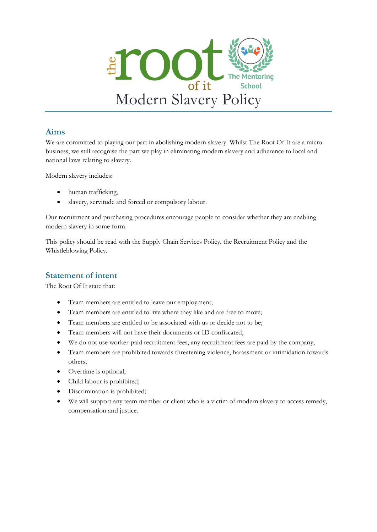

### **Aims**

We are committed to playing our part in abolishing modern slavery. Whilst The Root Of It are a micro business, we still recognise the part we play in eliminating modern slavery and adherence to local and national laws relating to slavery.

Modern slavery includes:

- human trafficking,
- slavery, servitude and forced or compulsory labour.

Our recruitment and purchasing procedures encourage people to consider whether they are enabling modern slavery in some form.

This policy should be read with the Supply Chain Services Policy, the Recruitment Policy and the Whistleblowing Policy.

# **Statement of intent**

The Root Of It state that:

- Team members are entitled to leave our employment;
- Team members are entitled to live where they like and are free to move;
- Team members are entitled to be associated with us or decide not to be;
- Team members will not have their documents or ID confiscated:
- We do not use worker-paid recruitment fees, any recruitment fees are paid by the company;
- Team members are prohibited towards threatening violence, harassment or intimidation towards others;
- Overtime is optional;
- Child labour is prohibited;
- Discrimination is prohibited;
- We will support any team member or client who is a victim of modern slavery to access remedy, compensation and justice.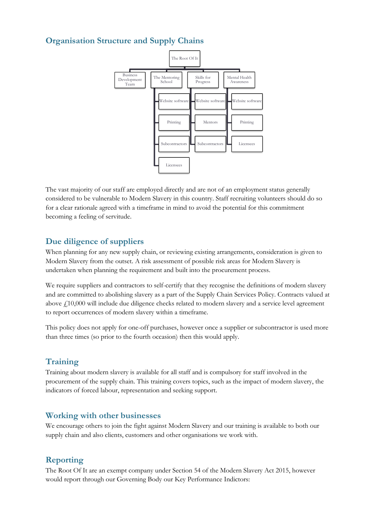# **Organisation Structure and Supply Chains**



The vast majority of our staff are employed directly and are not of an employment status generally considered to be vulnerable to Modern Slavery in this country. Staff recruiting volunteers should do so for a clear rationale agreed with a timeframe in mind to avoid the potential for this commitment becoming a feeling of servitude.

### **Due diligence of suppliers**

When planning for any new supply chain, or reviewing existing arrangements, consideration is given to Modern Slavery from the outset. A risk assessment of possible risk areas for Modern Slavery is undertaken when planning the requirement and built into the procurement process.

We require suppliers and contractors to self-certify that they recognise the definitions of modern slavery and are committed to abolishing slavery as a part of the Supply Chain Services Policy. Contracts valued at above £10,000 will include due diligence checks related to modern slavery and a service level agreement to report occurrences of modern slavery within a timeframe.

This policy does not apply for one-off purchases, however once a supplier or subcontractor is used more than three times (so prior to the fourth occasion) then this would apply.

### **Training**

Training about modern slavery is available for all staff and is compulsory for staff involved in the procurement of the supply chain. This training covers topics, such as the impact of modern slavery, the indicators of forced labour, representation and seeking support.

#### **Working with other businesses**

We encourage others to join the fight against Modern Slavery and our training is available to both our supply chain and also clients, customers and other organisations we work with.

### **Reporting**

The Root Of It are an exempt company under Section 54 of the Modern Slavery Act 2015, however would report through our Governing Body our Key Performance Indictors: